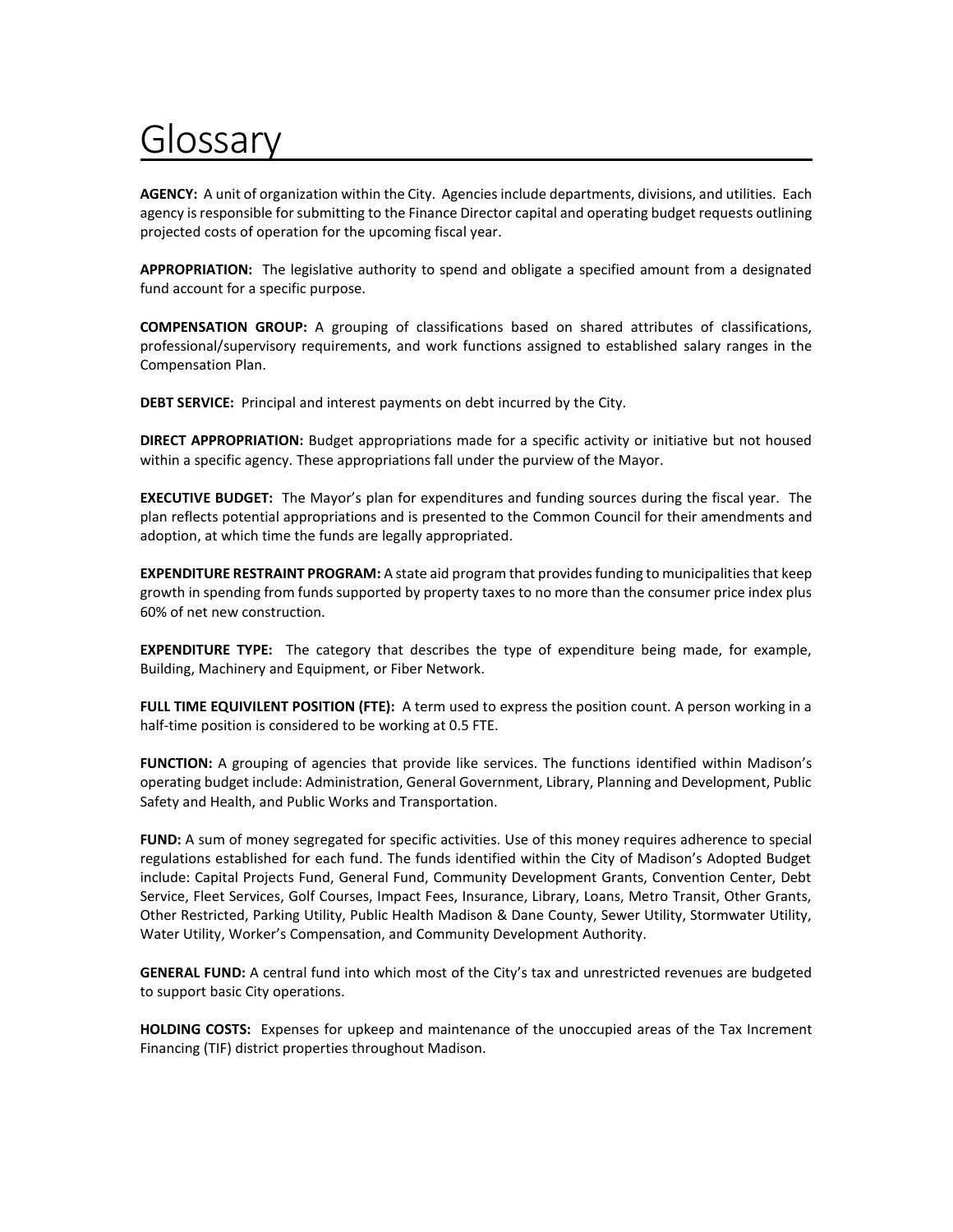## Glossary

**AGENCY:** A unit of organization within the City. Agencies include departments, divisions, and utilities. Each agency is responsible for submitting to the Finance Director capital and operating budget requests outlining projected costs of operation for the upcoming fiscal year.

**APPROPRIATION:** The legislative authority to spend and obligate a specified amount from a designated fund account for a specific purpose.

**COMPENSATION GROUP:** A grouping of classifications based on shared attributes of classifications, professional/supervisory requirements, and work functions assigned to established salary ranges in the Compensation Plan.

**DEBT SERVICE:** Principal and interest payments on debt incurred by the City.

**DIRECT APPROPRIATION:** Budget appropriations made for a specific activity or initiative but not housed within a specific agency. These appropriations fall under the purview of the Mayor.

**EXECUTIVE BUDGET:** The Mayor's plan for expenditures and funding sources during the fiscal year. The plan reflects potential appropriations and is presented to the Common Council for their amendments and adoption, at which time the funds are legally appropriated.

**EXPENDITURE RESTRAINT PROGRAM:** A state aid program that provides funding to municipalities that keep growth in spending from funds supported by property taxes to no more than the consumer price index plus 60% of net new construction.

**EXPENDITURE TYPE:** The category that describes the type of expenditure being made, for example, Building, Machinery and Equipment, or Fiber Network.

**FULL TIME EQUIVILENT POSITION (FTE):** A term used to express the position count. A person working in a half-time position is considered to be working at 0.5 FTE.

**FUNCTION:** A grouping of agencies that provide like services. The functions identified within Madison's operating budget include: Administration, General Government, Library, Planning and Development, Public Safety and Health, and Public Works and Transportation.

**FUND:** A sum of money segregated for specific activities. Use of this money requires adherence to special regulations established for each fund. The funds identified within the City of Madison's Adopted Budget include: Capital Projects Fund, General Fund, Community Development Grants, Convention Center, Debt Service, Fleet Services, Golf Courses, Impact Fees, Insurance, Library, Loans, Metro Transit, Other Grants, Other Restricted, Parking Utility, Public Health Madison & Dane County, Sewer Utility, Stormwater Utility, Water Utility, Worker's Compensation, and Community Development Authority.

**GENERAL FUND:** A central fund into which most of the City's tax and unrestricted revenues are budgeted to support basic City operations.

**HOLDING COSTS:** Expenses for upkeep and maintenance of the unoccupied areas of the Tax Increment Financing (TIF) district properties throughout Madison.